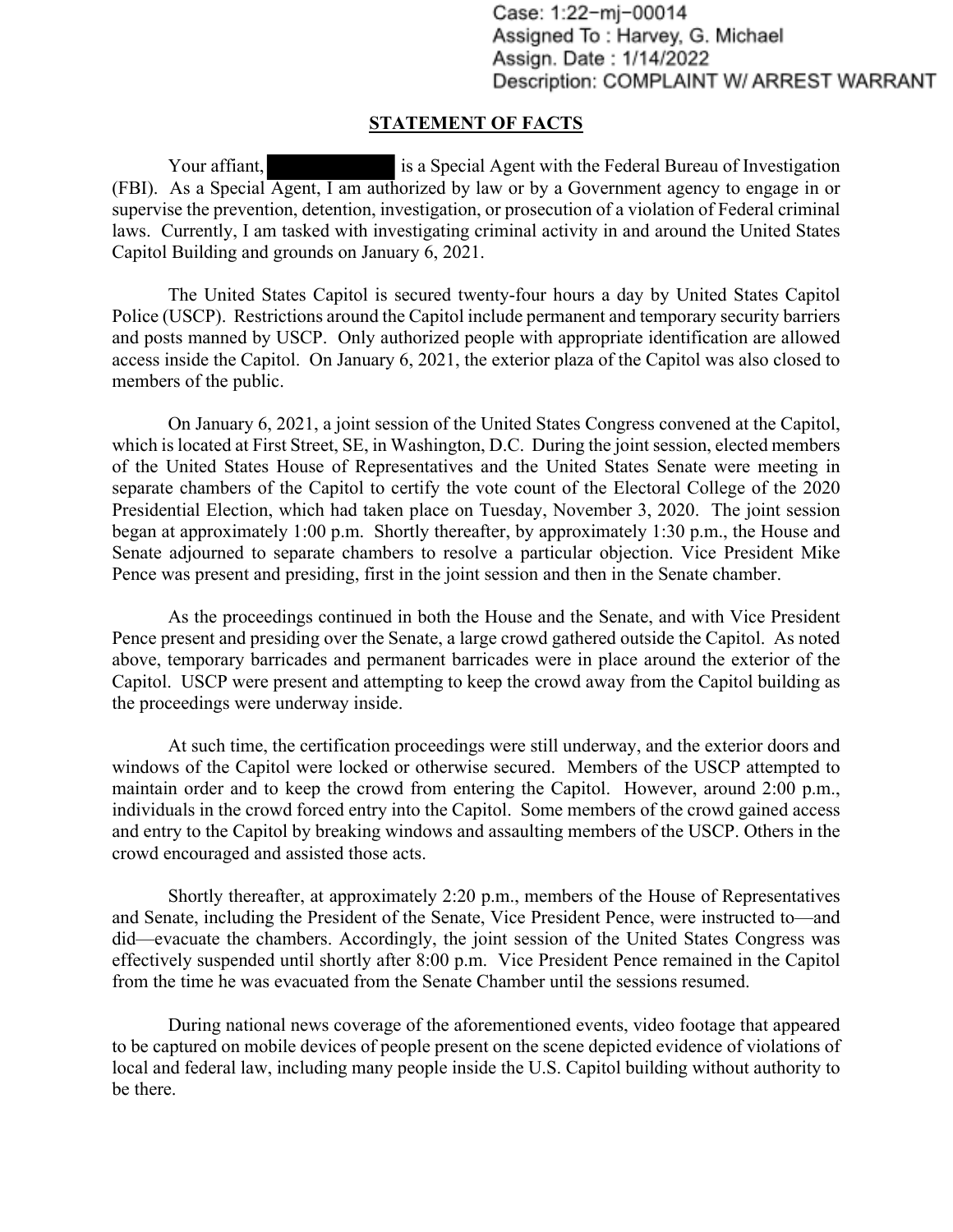Case: 1:22-mj-00014 Assigned To: Harvey, G. Michael Assign. Date: 1/14/2022 Description: COMPLAINT W/ ARREST WARRANT

### **STATEMENT OF FACTS**

Your affiant, is a Special Agent with the Federal Bureau of Investigation (FBI). As a Special Agent, I am authorized by law or by a Government agency to engage in or supervise the prevention, detention, investigation, or prosecution of a violation of Federal criminal laws. Currently, I am tasked with investigating criminal activity in and around the United States Capitol Building and grounds on January 6, 2021.

The United States Capitol is secured twenty-four hours a day by United States Capitol Police (USCP). Restrictions around the Capitol include permanent and temporary security barriers and posts manned by USCP. Only authorized people with appropriate identification are allowed access inside the Capitol. On January 6, 2021, the exterior plaza of the Capitol was also closed to members of the public.

On January 6, 2021, a joint session of the United States Congress convened at the Capitol, which is located at First Street, SE, in Washington, D.C. During the joint session, elected members of the United States House of Representatives and the United States Senate were meeting in separate chambers of the Capitol to certify the vote count of the Electoral College of the 2020 Presidential Election, which had taken place on Tuesday, November 3, 2020. The joint session began at approximately 1:00 p.m. Shortly thereafter, by approximately 1:30 p.m., the House and Senate adjourned to separate chambers to resolve a particular objection. Vice President Mike Pence was present and presiding, first in the joint session and then in the Senate chamber.

As the proceedings continued in both the House and the Senate, and with Vice President Pence present and presiding over the Senate, a large crowd gathered outside the Capitol. As noted above, temporary barricades and permanent barricades were in place around the exterior of the Capitol. USCP were present and attempting to keep the crowd away from the Capitol building as the proceedings were underway inside.

At such time, the certification proceedings were still underway, and the exterior doors and windows of the Capitol were locked or otherwise secured. Members of the USCP attempted to maintain order and to keep the crowd from entering the Capitol. However, around 2:00 p.m., individuals in the crowd forced entry into the Capitol. Some members of the crowd gained access and entry to the Capitol by breaking windows and assaulting members of the USCP. Others in the crowd encouraged and assisted those acts.

Shortly thereafter, at approximately 2:20 p.m., members of the House of Representatives and Senate, including the President of the Senate, Vice President Pence, were instructed to—and did—evacuate the chambers. Accordingly, the joint session of the United States Congress was effectively suspended until shortly after 8:00 p.m. Vice President Pence remained in the Capitol from the time he was evacuated from the Senate Chamber until the sessions resumed.

During national news coverage of the aforementioned events, video footage that appeared to be captured on mobile devices of people present on the scene depicted evidence of violations of local and federal law, including many people inside the U.S. Capitol building without authority to be there.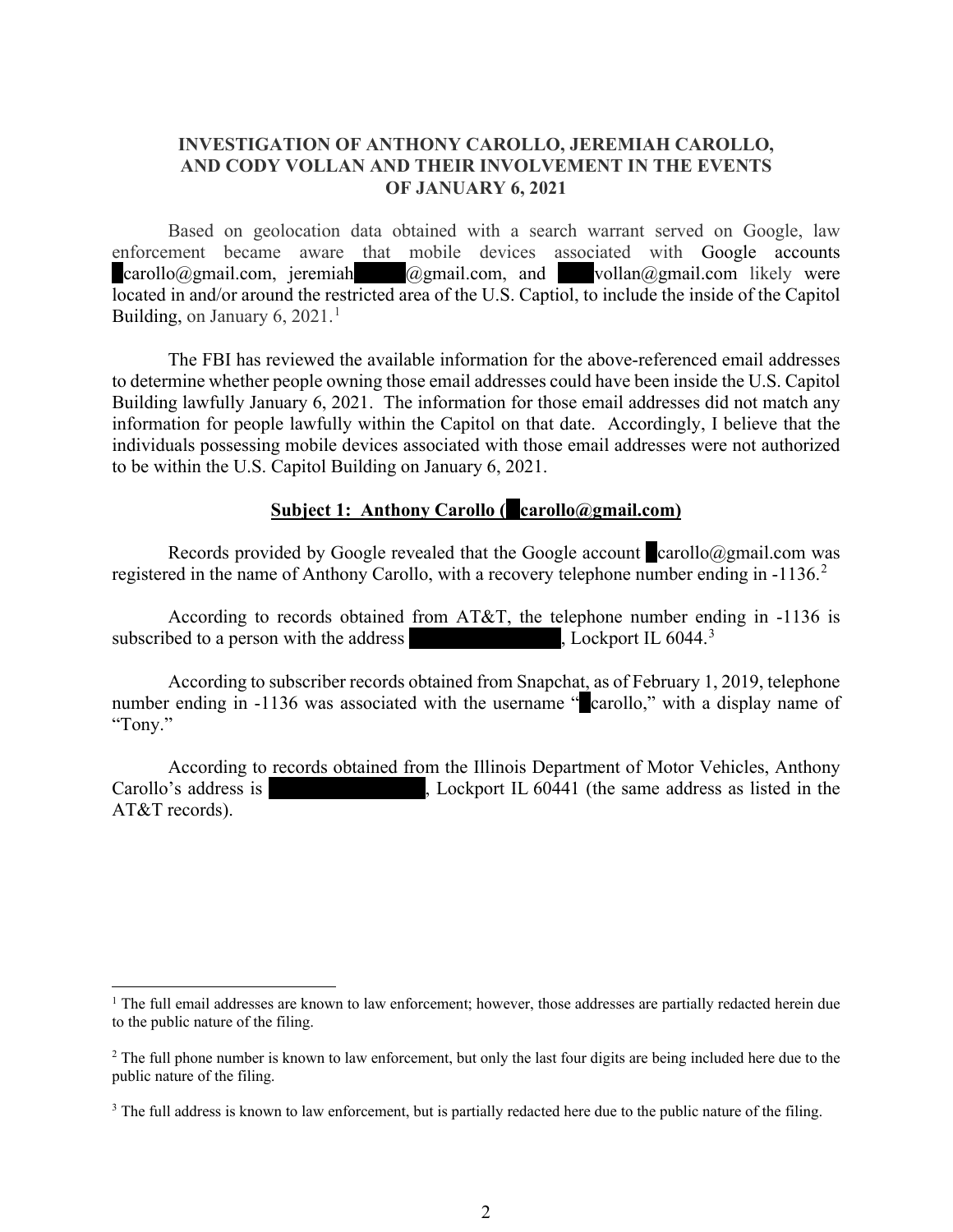## **INVESTIGATION OF ANTHONY CAROLLO, JEREMIAH CAROLLO, AND CODY VOLLAN AND THEIR INVOLVEMENT IN THE EVENTS OF JANUARY 6, 2021**

Based on geolocation data obtained with a search warrant served on Google, law enforcement became aware that mobile devices associated with Google accounts  $cardlo(\partial\Omega)$ gmail.com, jeremiah $\partial\Omega$ gmail.com, and vollan $\partial\Omega$ gmail.com likely were located in and/or around the restricted area of the U.S. Captiol, to include the inside of the Capitol Building, on January 6, 202[1](#page-1-0). $<sup>1</sup>$ </sup>

The FBI has reviewed the available information for the above-referenced email addresses to determine whether people owning those email addresses could have been inside the U.S. Capitol Building lawfully January 6, 2021. The information for those email addresses did not match any information for people lawfully within the Capitol on that date. Accordingly, I believe that the individuals possessing mobile devices associated with those email addresses were not authorized to be within the U.S. Capitol Building on January 6, 2021.

### **<u>Subject 1: Anthony Carollo (example carollo</u>@gmail.com)**

Records provided by Google revealed that the Google account  $\alpha$  carollo@gmail.com was registered in the name of Anthony Carollo, with a recovery telephone number ending in -1136.<sup>[2](#page-1-1)</sup>

According to records obtained from AT&T, the telephone number ending in -1136 is subscribed to a person with the address , Lockport IL  $6044.<sup>3</sup>$ 

According to subscriber records obtained from Snapchat, as of February 1, 2019, telephone number ending in -1136 was associated with the username "carollo," with a display name of "Tony."

According to records obtained from the Illinois Department of Motor Vehicles, Anthony Carollo's address is 16644 Carollo's address is 16644 W Oneida Dr, Lockport IL 60441 (the same address as listed in the AT&T records).

<span id="page-1-0"></span> $1$  The full email addresses are known to law enforcement; however, those addresses are partially redacted herein due to the public nature of the filing.

<span id="page-1-1"></span><sup>&</sup>lt;sup>2</sup> The full phone number is known to law enforcement, but only the last four digits are being included here due to the public nature of the filing.

<span id="page-1-2"></span><sup>&</sup>lt;sup>3</sup> The full address is known to law enforcement, but is partially redacted here due to the public nature of the filing.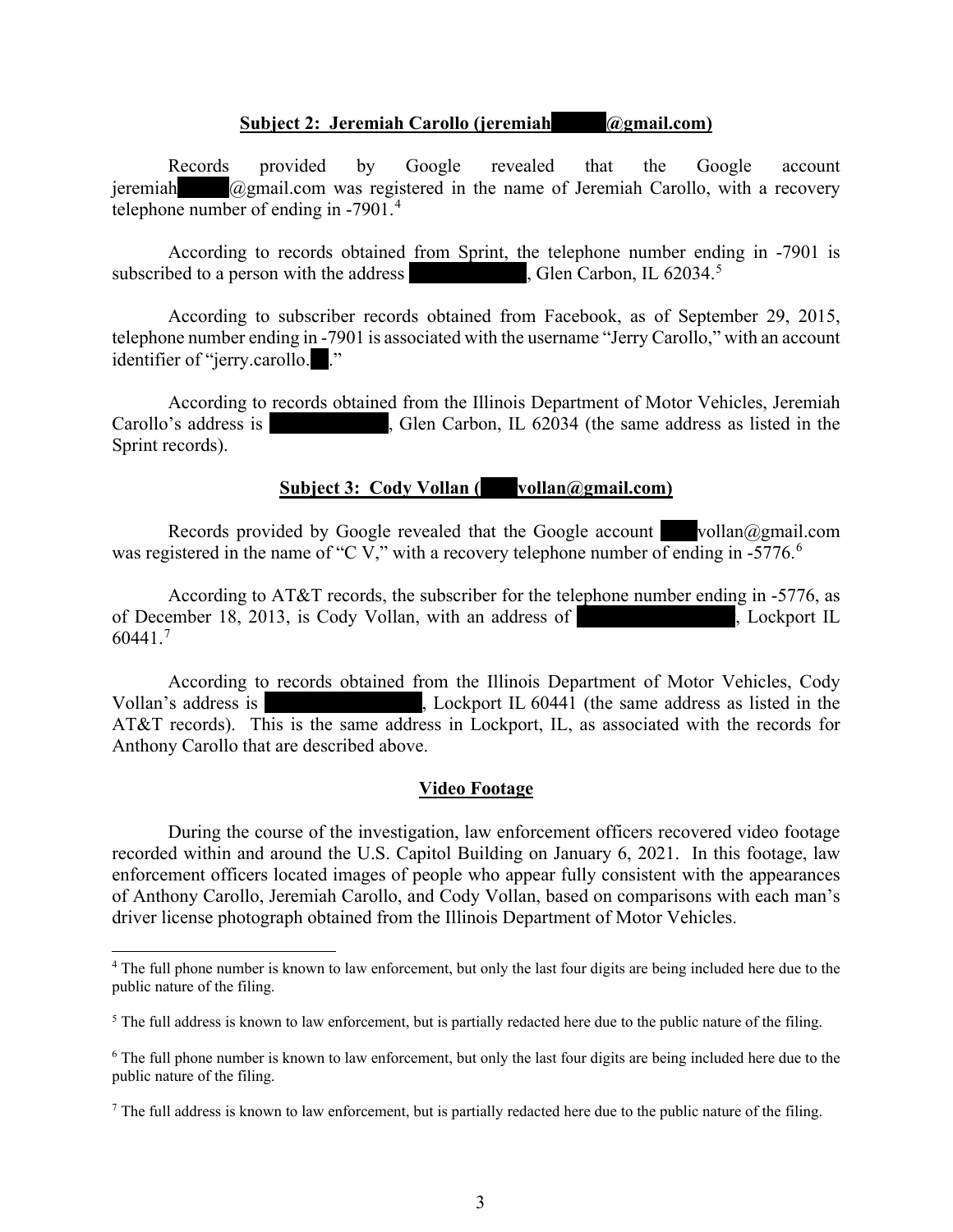### **Subject 2: Jeremiah Carollo (jeremiah**  $\qquad \qquad (\text{dymail.com})$

Records provided by Google revealed that the Google account jeremiah  $\qquad \qquad \textcircled{a}$ gmail.com was registered in the name of Jeremiah Carollo, with a recovery telephone number of ending in -7901.<sup>[4](#page-2-0)</sup>

According to records obtained from Sprint, the telephone number ending in -7901 is subscribed to a person with the address  $\blacksquare$ , Glen Carbon, IL 62034.<sup>[5](#page-2-1)</sup>

According to subscriber records obtained from Facebook, as of September 29, 2015, telephone number ending in -7901 is associated with the username "Jerry Carollo," with an account identifier of "jerry.carollo."

According to records obtained from the Illinois Department of Motor Vehicles, Jeremiah Carollo's address is 504 Carollo's address is 504 Huntington, IL 62034 (the same address as listed in the Sprint records).

## **Subject 3: Cody Vollan (vollan@gmail.com)**

Records provided by Google revealed that the Google account vollan@gmail.com was registered in the name of "C V," with a recovery telephone number of ending in -577[6](#page-2-2).<sup>6</sup>

According to AT&T records, the subscriber for the telephone number ending in -5776, as of December 18, 2013, is Cody Vollan, with an address of 1664, Lockport IL  $60441.^7$  $60441.^7$ 

According to records obtained from the Illinois Department of Motor Vehicles, Cody Vollan's address is 16644 W Oneida Dr, Lockport IL 60441 (the same address as listed in the AT&T records). This is the same address in Lockport, IL, as associated with the records for Anthony Carollo that are described above.

### **Video Footage**

During the course of the investigation, law enforcement officers recovered video footage recorded within and around the U.S. Capitol Building on January 6, 2021. In this footage, law enforcement officers located images of people who appear fully consistent with the appearances of Anthony Carollo, Jeremiah Carollo, and Cody Vollan, based on comparisons with each man's driver license photograph obtained from the Illinois Department of Motor Vehicles.

<span id="page-2-0"></span><sup>&</sup>lt;sup>4</sup> The full phone number is known to law enforcement, but only the last four digits are being included here due to the public nature of the filing.

<span id="page-2-1"></span> $<sup>5</sup>$  The full address is known to law enforcement, but is partially redacted here due to the public nature of the filing.</sup>

<span id="page-2-2"></span><sup>6</sup> The full phone number is known to law enforcement, but only the last four digits are being included here due to the public nature of the filing.

<span id="page-2-3"></span> $<sup>7</sup>$  The full address is known to law enforcement, but is partially redacted here due to the public nature of the filing.</sup>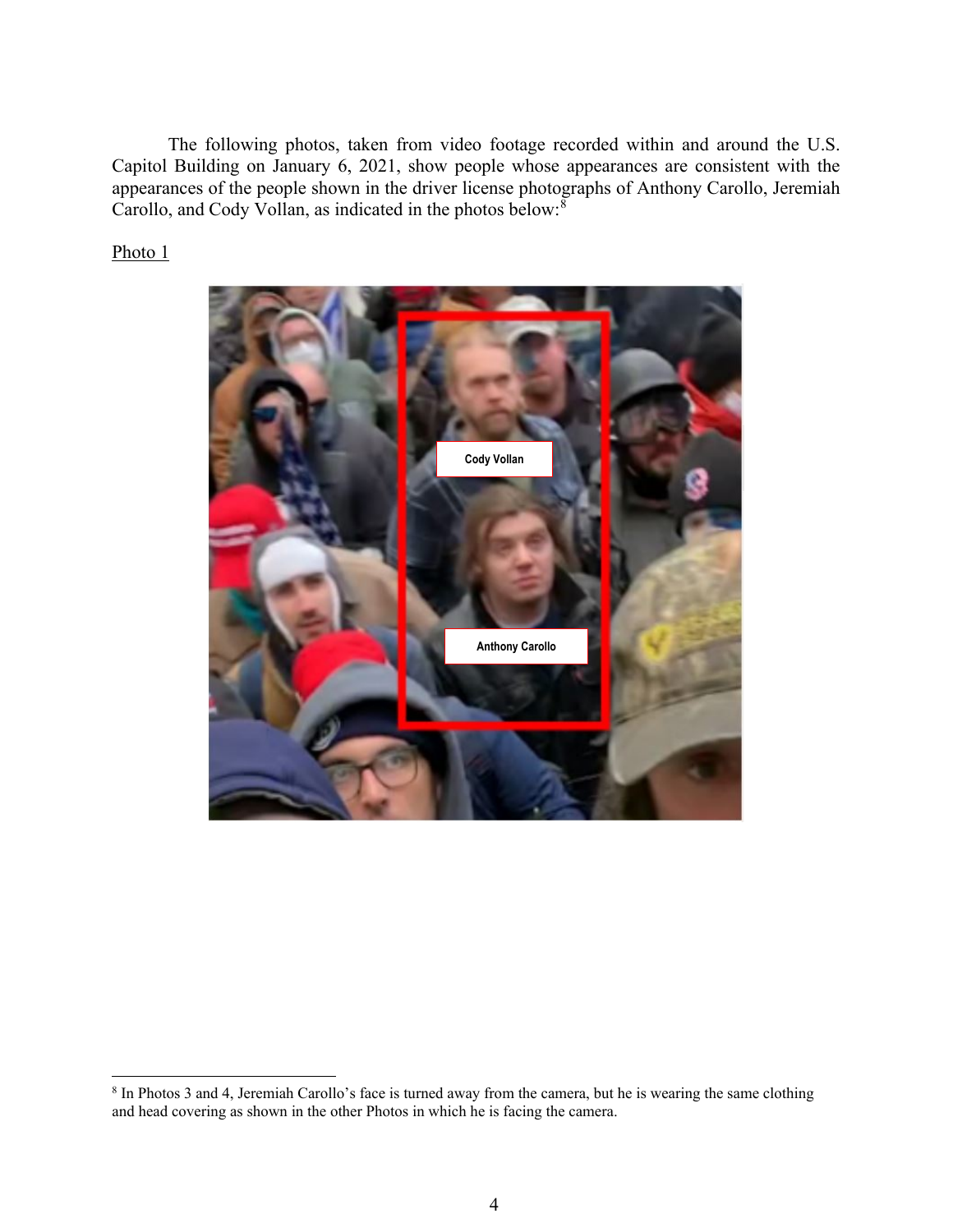The following photos, taken from video footage recorded within and around the U.S. Capitol Building on January 6, 2021, show people whose appearances are consistent with the appearances of the people shown in the driver license photographs of Anthony Carollo, Jeremiah Carollo, and Cody Vollan, as indicated in the photos below:<sup>[8](#page-3-0)</sup>

Photo<sub>1</sub>



<span id="page-3-0"></span><sup>&</sup>lt;sup>8</sup> In Photos 3 and 4, Jeremiah Carollo's face is turned away from the camera, but he is wearing the same clothing and head covering as shown in the other Photos in which he is facing the camera.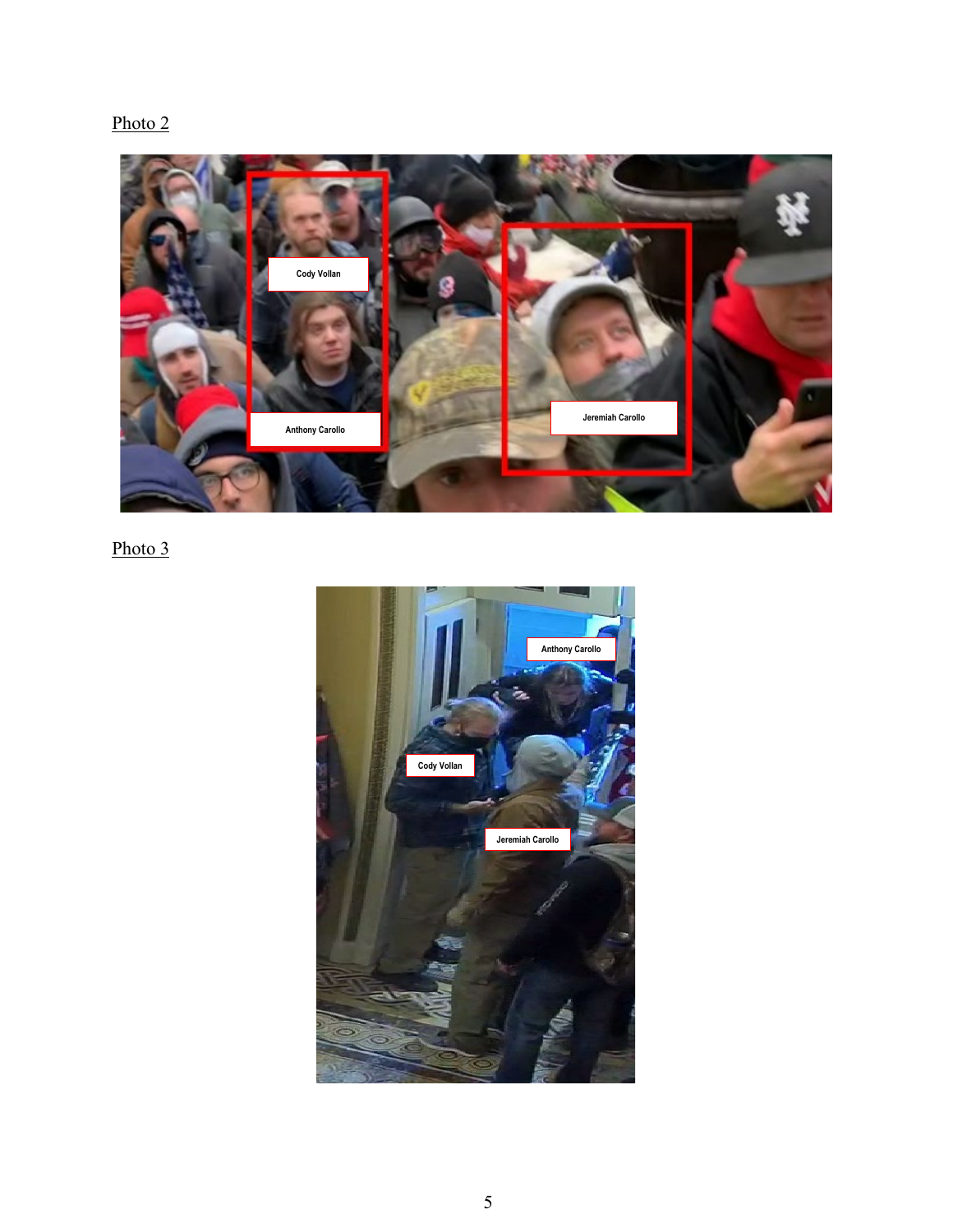# Photo 2



Photo 3

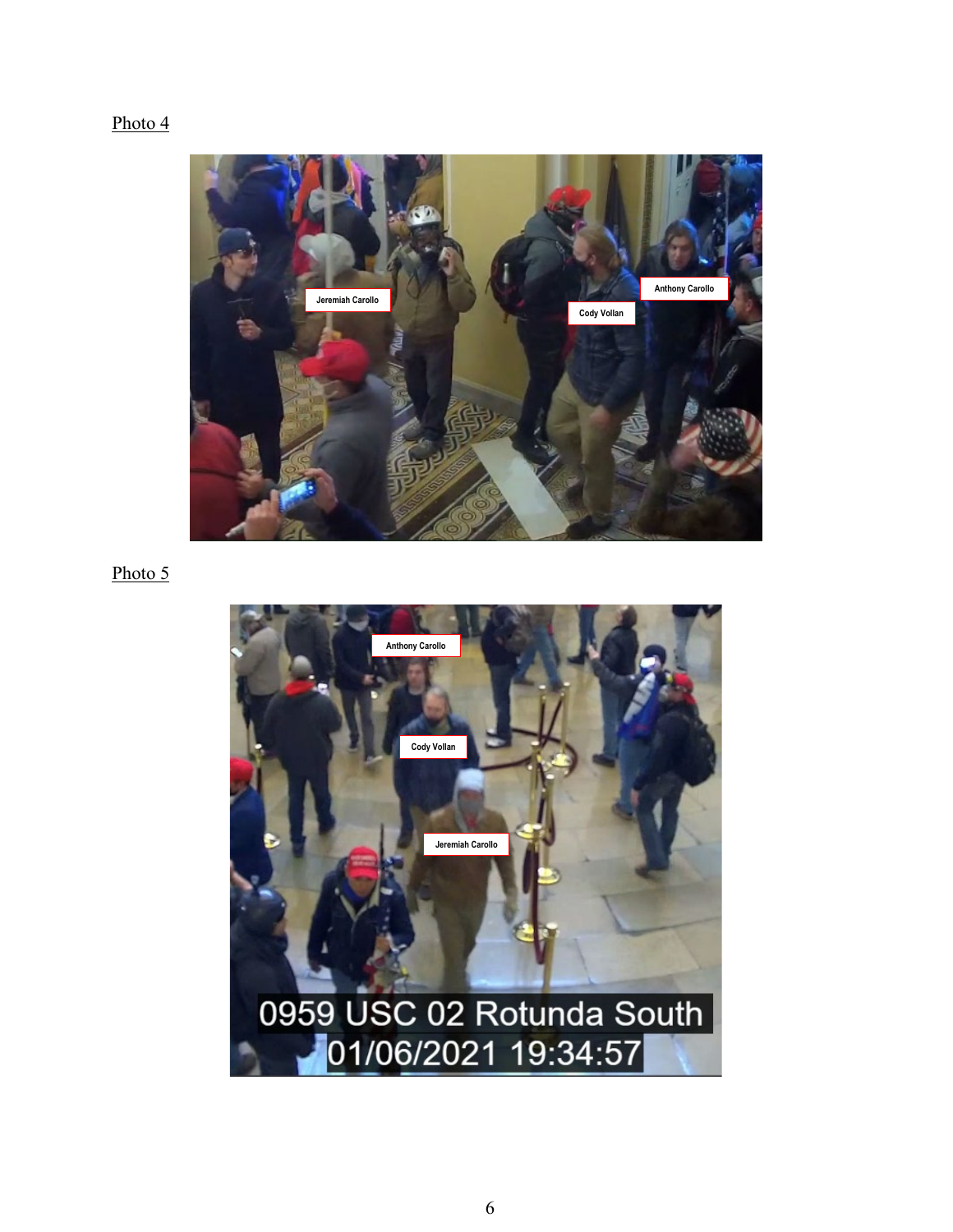# Photo 4



## Photo 5

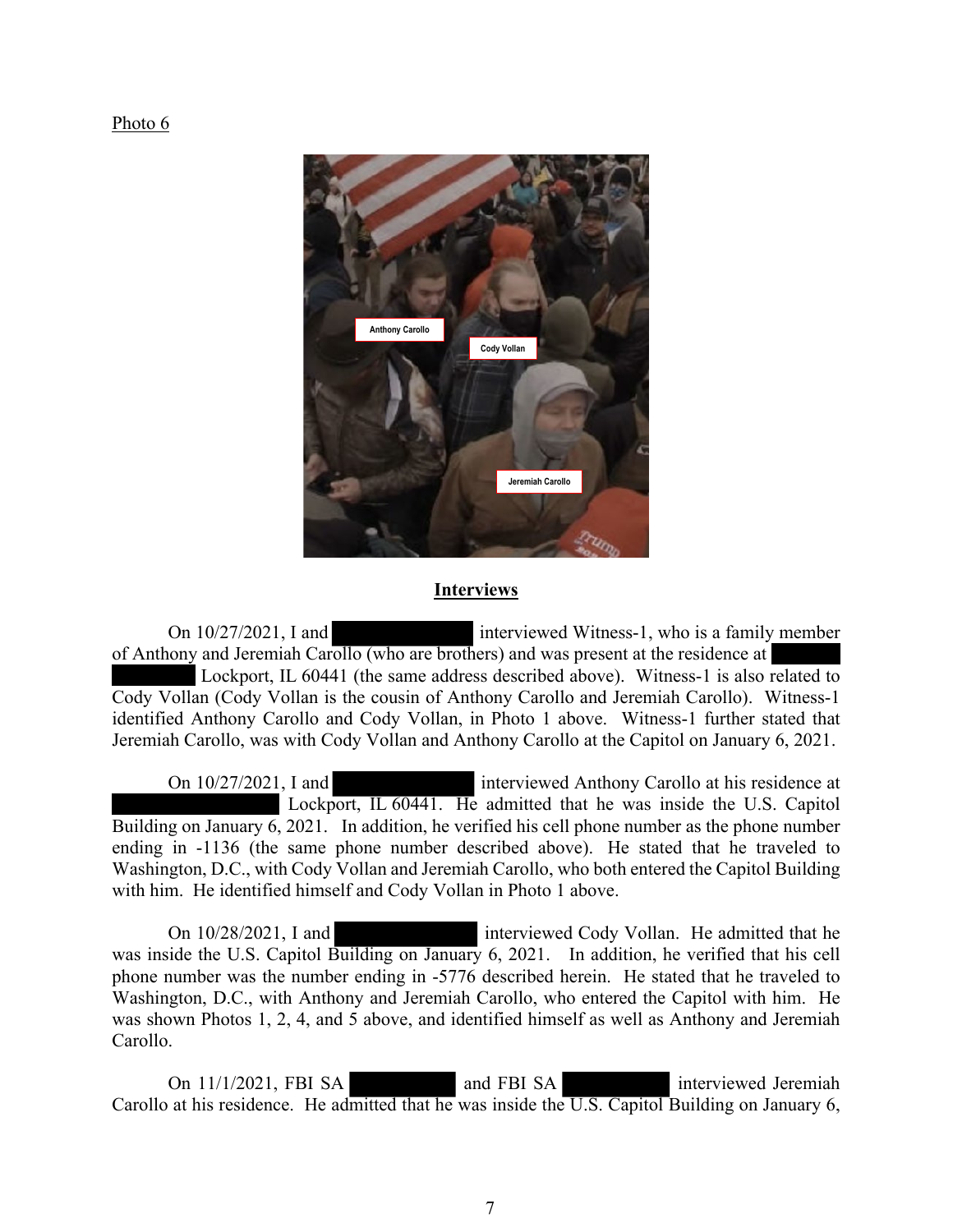#### Photo 6



### **Interviews**

On 10/27/2021, I and interviewed Witness-1, who is a family member of Anthony and Jeremiah Carollo (who are brothers) and was present at the residence at Lockport, IL 60441 (the same address described above). Witness-1 is also related to Cody Vollan (Cody Vollan is the cousin of Anthony Carollo and Jeremiah Carollo). Witness-1 identified Anthony Carollo and Cody Vollan, in Photo 1 above. Witness-1 further stated that Jeremiah Carollo, was with Cody Vollan and Anthony Carollo at the Capitol on January 6, 2021.

On 10/27/2021, I and interviewed Anthony Carollo at his residence at Lockport, IL 60441. He admitted that he was inside the U.S. Capitol Building on January 6, 2021. In addition, he verified his cell phone number as the phone number ending in -1136 (the same phone number described above). He stated that he traveled to Washington, D.C., with Cody Vollan and Jeremiah Carollo, who both entered the Capitol Building with him. He identified himself and Cody Vollan in Photo 1 above.

On 10/28/2021, I and interviewed Cody Vollan. He admitted that he was inside the U.S. Capitol Building on January 6, 2021. In addition, he verified that his cell phone number was the number ending in -5776 described herein. He stated that he traveled to Washington, D.C., with Anthony and Jeremiah Carollo, who entered the Capitol with him. He was shown Photos 1, 2, 4, and 5 above, and identified himself as well as Anthony and Jeremiah Carollo.

On 11/1/2021, FBI SA and FBI SA interviewed Jeremiah Carollo at his residence. He admitted that he was inside the U.S. Capitol Building on January 6,